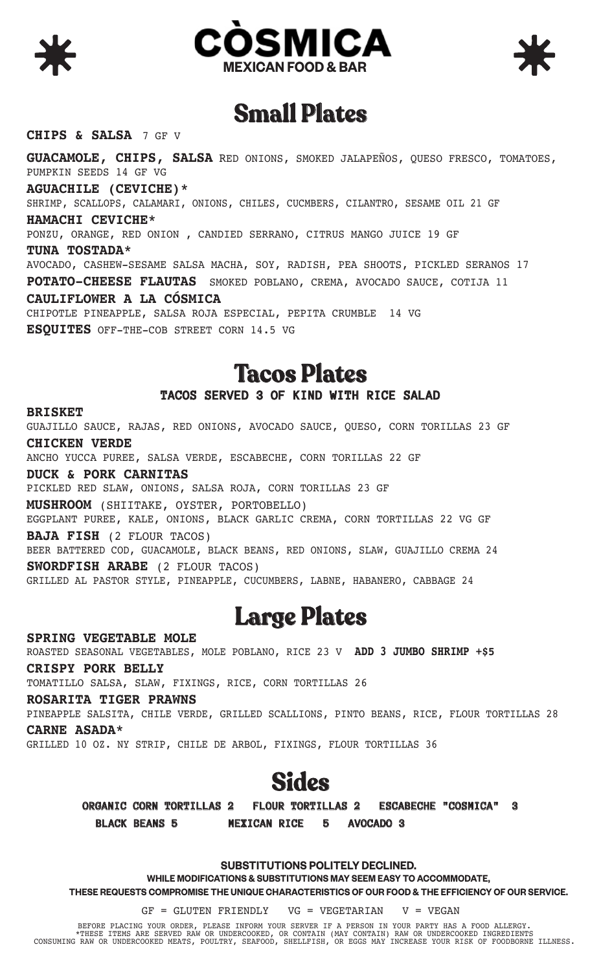



### **Small Plates**

#### **CHIPS & SALSA** 7 GF V

**GUACAMOLE, CHIPS, SALSA** RED ONIONS, SMOKED JALAPEÑOS, QUESO FRESCO, TOMATOES, PUMPKIN SEEDS 14 GF VG **AGUACHILE (CEVICHE)\*** SHRIMP, SCALLOPS, CALAMARI, ONIONS, CHILES, CUCMBERS, CILANTRO, SESAME OIL 21 GF **HAMACHI CEVICHE\***  PONZU, ORANGE, RED ONION , CANDIED SERRANO, CITRUS MANGO JUICE 19 GF **TUNA TOSTADA\***  AVOCADO, CASHEW-SESAME SALSA MACHA, SOY, RADISH, PEA SHOOTS, PICKLED SERANOS 17 **POTATO-CHEESE FLAUTAS** SMOKED POBLANO, CREMA, AVOCADO SAUCE, COTIJA 11 **CAULIFLOWER A LA CÓSMICA**  CHIPOTLE PINEAPPLE, SALSA ROJA ESPECIAL, PEPITA CRUMBLE 14 VG **ESQUITES** OFF-THE-COB STREET CORN 14.5 VG

### **Tacos Plates**

### **TACOS SERVED 3 OF KIND WITH RICE SALAD**

**BRISKET** GUAJILLO SAUCE, RAJAS, RED ONIONS, AVOCADO SAUCE, QUESO, CORN TORILLAS 23 GF **CHICKEN VERDE** 

ANCHO YUCCA PUREE, SALSA VERDE, ESCABECHE, CORN TORILLAS 22 GF

**DUCK & PORK CARNITAS**

PICKLED RED SLAW, ONIONS, SALSA ROJA, CORN TORILLAS 23 GF

**MUSHROOM** (SHIITAKE, OYSTER, PORTOBELLO)

EGGPLANT PUREE, KALE, ONIONS, BLACK GARLIC CREMA, CORN TORTILLAS 22 VG GF **BAJA FISH** (2 FLOUR TACOS)

BEER BATTERED COD, GUACAMOLE, BLACK BEANS, RED ONIONS, SLAW, GUAJILLO CREMA 24 **SWORDFISH ARABE** (2 FLOUR TACOS)

GRILLED AL PASTOR STYLE, PINEAPPLE, CUCUMBERS, LABNE, HABANERO, CABBAGE 24

### **Large Plates**

**SPRING VEGETABLE MOLE** ROASTED SEASONAL VEGETABLES, MOLE POBLANO, RICE 23 V **ADD 3 JUMBO SHRIMP +\$5 CRISPY PORK BELLY**  TOMATILLO SALSA, SLAW, FIXINGS, RICE, CORN TORTILLAS 26 **ROSARITA TIGER PRAWNS** 

PINEAPPLE SALSITA, CHILE VERDE, GRILLED SCALLIONS, PINTO BEANS, RICE, FLOUR TORTILLAS 28 **CARNE ASADA\*** 

GRILLED 10 OZ. NY STRIP, CHILE DE ARBOL, FIXINGS, FLOUR TORTILLAS 36



**ORGANIC CORN TORTILLAS 2 FLOUR TORTILLAS 2 ESCABECHE "COSMICA" 3 BLACK BEANS 5 MEXICAN RICE 5 AVOCADO 3** 

#### **SUBSTITUTIONS POLITELY DECLINED.**

**WHILE MODIFICATIONS & SUBSTITUTIONS MAY SEEM EASY TO ACCOMMODATE,** 

**THESE REQUESTS COMPROMISE THE UNIQUE CHARACTERISTICS OF OUR FOOD & THE EFFICIENCY OF OUR SERVICE.**

 $GF = GLUTEN FRIENDLY$  VG = VEGETARIAN V = VEGAN

BEFORE PLACING YOUR ORDER, PLEASE INFORM YOUR SERVER IF A PERSON IN YOUR PARTY HAS A FOOD ALLERGY. \*THESE ITEMS ARE SERVED RAW OR UNDERCOOKED, OR CONTAIN (MAY CONTAIN) RAW OR UNDERCOOKED INGREDIENTS CONSUMING RAW OR UNDERCOOKED MEATS, POULTRY, SEAFOOD, SHELLFISH, OR EGGS MAY INCREASE YOUR RISK OF FOODBORNE ILLNESS.